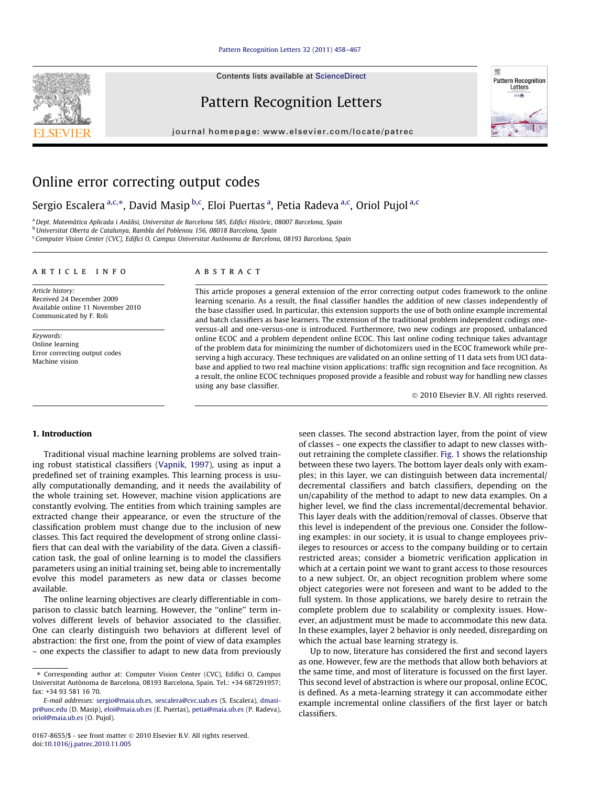#### [Pattern Recognition Letters 32 \(2011\) 458–467](http://dx.doi.org/10.1016/j.patrec.2010.11.005)

Contents lists available at [ScienceDirect](http://www.sciencedirect.com/science/journal/01678655)

# Pattern Recognition Letters

journal homepage: [www.elsevier.com/locate/patrec](http://www.elsevier.com/locate/patrec)



# Online error correcting output codes

Sergio Escalera <sup>a,c,</sup>\*, David Masip <sup>b,c</sup>, Eloi Puertas <sup>a</sup>, Petia Radeva <sup>a,c</sup>, Oriol Pujol <sup>a,c</sup>

<sup>a</sup> Dept. Matemàtica Aplicada i Anàlisi, Universitat de Barcelona 585, Edifici Històric, 08007 Barcelona, Spain

<sup>b</sup>Universitat Oberta de Catalunya, Rambla del Poblenou 156, 08018 Barcelona, Spain

<sup>c</sup> Computer Vision Center (CVC), Edifici O, Campus Universitat Autònoma de Barcelona, 08193 Barcelona, Spain

#### article info

Article history: Received 24 December 2009 Available online 11 November 2010 Communicated by F. Roli

Keywords: Online learning Error correcting output codes Machine vision

### ABSTRACT

This article proposes a general extension of the error correcting output codes framework to the online learning scenario. As a result, the final classifier handles the addition of new classes independently of the base classifier used. In particular, this extension supports the use of both online example incremental and batch classifiers as base learners. The extension of the traditional problem independent codings oneversus-all and one-versus-one is introduced. Furthermore, two new codings are proposed, unbalanced online ECOC and a problem dependent online ECOC. This last online coding technique takes advantage of the problem data for minimizing the number of dichotomizers used in the ECOC framework while preserving a high accuracy. These techniques are validated on an online setting of 11 data sets from UCI database and applied to two real machine vision applications: traffic sign recognition and face recognition. As a result, the online ECOC techniques proposed provide a feasible and robust way for handling new classes using any base classifier.

- 2010 Elsevier B.V. All rights reserved.

## 1. Introduction

Traditional visual machine learning problems are solved training robust statistical classifiers ([Vapnik, 1997](#page-9-0)), using as input a predefined set of training examples. This learning process is usually computationally demanding, and it needs the availability of the whole training set. However, machine vision applications are constantly evolving. The entities from which training samples are extracted change their appearance, or even the structure of the classification problem must change due to the inclusion of new classes. This fact required the development of strong online classifiers that can deal with the variability of the data. Given a classification task, the goal of online learning is to model the classifiers parameters using an initial training set, being able to incrementally evolve this model parameters as new data or classes become available.

The online learning objectives are clearly differentiable in comparison to classic batch learning. However, the ''online'' term involves different levels of behavior associated to the classifier. One can clearly distinguish two behaviors at different level of abstraction: the first one, from the point of view of data examples – one expects the classifier to adapt to new data from previously seen classes. The second abstraction layer, from the point of view of classes – one expects the classifier to adapt to new classes without retraining the complete classifier. [Fig. 1](#page-1-0) shows the relationship between these two layers. The bottom layer deals only with examples; in this layer, we can distinguish between data incremental/ decremental classifiers and batch classifiers, depending on the un/capability of the method to adapt to new data examples. On a higher level, we find the class incremental/decremental behavior. This layer deals with the addition/removal of classes. Observe that this level is independent of the previous one. Consider the following examples: in our society, it is usual to change employees privileges to resources or access to the company building or to certain restricted areas; consider a biometric verification application in which at a certain point we want to grant access to those resources to a new subject. Or, an object recognition problem where some object categories were not foreseen and want to be added to the full system. In those applications, we barely desire to retrain the complete problem due to scalability or complexity issues. However, an adjustment must be made to accommodate this new data. In these examples, layer 2 behavior is only needed, disregarding on which the actual base learning strategy is.

Up to now, literature has considered the first and second layers as one. However, few are the methods that allow both behaviors at the same time, and most of literature is focussed on the first layer. This second level of abstraction is where our proposal, online ECOC, is defined. As a meta-learning strategy it can accommodate either example incremental online classifiers of the first layer or batch classifiers.



<sup>\*</sup> Corresponding author at: Computer Vision Center (CVC), Edifici O, Campus Universitat Autònoma de Barcelona, 08193 Barcelona, Spain. Tel.: +34 687291957; fax: +34 93 581 16 70.

E-mail addresses: [sergio@maia.ub.es, sescalera@cvc.uab.es](mailto:<xml_add>sergio@maia.ub.es) (S. Escalera), [dmasi](mailto:dmasipr@uoc.edu)[pr@uoc.edu](mailto:dmasipr@uoc.edu) (D. Masip), [eloi@maia.ub.es](mailto:eloi@maia.ub.es) (E. Puertas), [petia@maia.ub.es](mailto:petia@maia.ub.es) (P. Radeva), [oriol@maia.ub.es](mailto:oriol@maia.ub.es) (O. Pujol).

<sup>0167-8655/\$ -</sup> see front matter © 2010 Elsevier B.V. All rights reserved. doi:[10.1016/j.patrec.2010.11.005](http://dx.doi.org/10.1016/j.patrec.2010.11.005)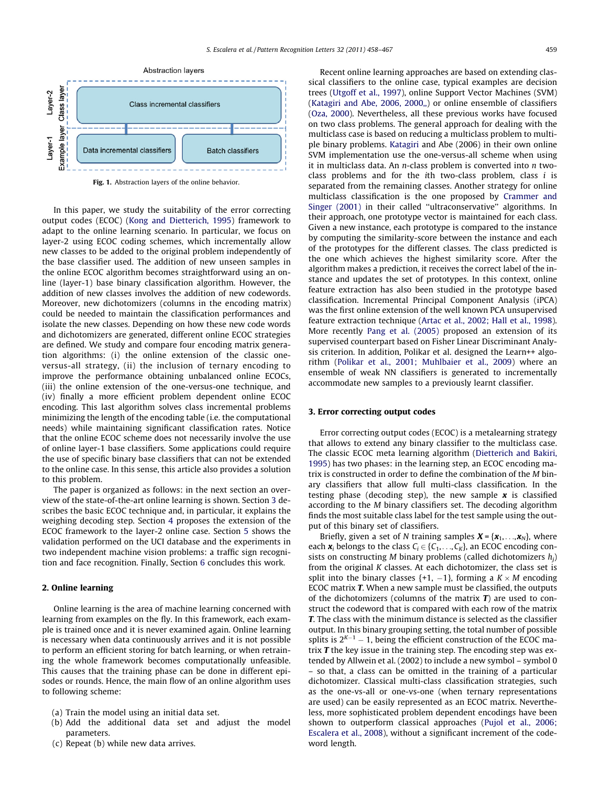<span id="page-1-0"></span>

Fig. 1. Abstraction layers of the online behavior.

In this paper, we study the suitability of the error correcting output codes (ECOC) [\(Kong and Dietterich, 1995\)](#page-9-0) framework to adapt to the online learning scenario. In particular, we focus on layer-2 using ECOC coding schemes, which incrementally allow new classes to be added to the original problem independently of the base classifier used. The addition of new unseen samples in the online ECOC algorithm becomes straightforward using an online (layer-1) base binary classification algorithm. However, the addition of new classes involves the addition of new codewords. Moreover, new dichotomizers (columns in the encoding matrix) could be needed to maintain the classification performances and isolate the new classes. Depending on how these new code words and dichotomizers are generated, different online ECOC strategies are defined. We study and compare four encoding matrix generation algorithms: (i) the online extension of the classic oneversus-all strategy, (ii) the inclusion of ternary encoding to improve the performance obtaining unbalanced online ECOCs, (iii) the online extension of the one-versus-one technique, and (iv) finally a more efficient problem dependent online ECOC encoding. This last algorithm solves class incremental problems minimizing the length of the encoding table (i.e. the computational needs) while maintaining significant classification rates. Notice that the online ECOC scheme does not necessarily involve the use of online layer-1 base classifiers. Some applications could require the use of specific binary base classifiers that can not be extended to the online case. In this sense, this article also provides a solution to this problem.

The paper is organized as follows: in the next section an overview of the state-of-the-art online learning is shown. Section 3 describes the basic ECOC technique and, in particular, it explains the weighing decoding step. Section [4](#page-2-0) proposes the extension of the ECOC framework to the layer-2 online case. Section [5](#page-5-0) shows the validation performed on the UCI database and the experiments in two independent machine vision problems: a traffic sign recognition and face recognition. Finally, Section [6](#page-8-0) concludes this work.

#### 2. Online learning

Online learning is the area of machine learning concerned with learning from examples on the fly. In this framework, each example is trained once and it is never examined again. Online learning is necessary when data continuously arrives and it is not possible to perform an efficient storing for batch learning, or when retraining the whole framework becomes computationally unfeasible. This causes that the training phase can be done in different episodes or rounds. Hence, the main flow of an online algorithm uses to following scheme:

- (a) Train the model using an initial data set.
- (b) Add the additional data set and adjust the model parameters.
- (c) Repeat (b) while new data arrives.

Recent online learning approaches are based on extending classical classifiers to the online case, typical examples are decision trees [\(Utgoff et al., 1997](#page-9-0)), online Support Vector Machines (SVM) ([Katagiri and Abe, 2006, 2000,,](#page-9-0)) or online ensemble of classifiers ([Oza, 2000\)](#page-9-0). Nevertheless, all these previous works have focused on two class problems. The general approach for dealing with the multiclass case is based on reducing a multiclass problem to multiple binary problems. [Katagiri](#page-9-0) and Abe (2006) in their own online SVM implementation use the one-versus-all scheme when using it in multiclass data. An n-class problem is converted into n twoclass problems and for the ith two-class problem, class i is separated from the remaining classes. Another strategy for online multiclass classification is the one proposed by [Crammer and](#page-9-0) [Singer \(2001\)](#page-9-0) in their called ''ultraconservative'' algorithms. In their approach, one prototype vector is maintained for each class. Given a new instance, each prototype is compared to the instance by computing the similarity-score between the instance and each of the prototypes for the different classes. The class predicted is the one which achieves the highest similarity score. After the algorithm makes a prediction, it receives the correct label of the instance and updates the set of prototypes. In this context, online feature extraction has also been studied in the prototype based classification. Incremental Principal Component Analysis (iPCA) was the first online extension of the well known PCA unsupervised feature extraction technique ([Artac et al., 2002; Hall et al., 1998\)](#page-9-0). More recently [Pang et al. \(2005\)](#page-9-0) proposed an extension of its supervised counterpart based on Fisher Linear Discriminant Analysis criterion. In addition, Polikar et al. designed the Learn++ algorithm ([Polikar et al., 2001; Muhlbaier et al., 2009\)](#page-9-0) where an ensemble of weak NN classifiers is generated to incrementally accommodate new samples to a previously learnt classifier.

## 3. Error correcting output codes

Error correcting output codes (ECOC) is a metalearning strategy that allows to extend any binary classifier to the multiclass case. The classic ECOC meta learning algorithm [\(Dietterich and Bakiri,](#page-9-0) [1995\)](#page-9-0) has two phases: in the learning step, an ECOC encoding matrix is constructed in order to define the combination of the M binary classifiers that allow full multi-class classification. In the testing phase (decoding step), the new sample  $x$  is classified according to the M binary classifiers set. The decoding algorithm finds the most suitable class label for the test sample using the output of this binary set of classifiers.

Briefly, given a set of N training samples  $X = \{x_1, \ldots, x_N\}$ , where each  $x_i$  belongs to the class  $C_i \in \{C_1, \ldots, C_K\}$ , an ECOC encoding consists on constructing M binary problems (called dichotomizers  $h_i$ ) from the original  $K$  classes. At each dichotomizer, the class set is split into the binary classes  $\{+1, -1\}$ , forming a  $K \times M$  encoding ECOC matrix T. When a new sample must be classified, the outputs of the dichotomizers (columns of the matrix  $T$ ) are used to construct the codeword that is compared with each row of the matrix T. The class with the minimum distance is selected as the classifier output. In this binary grouping setting, the total number of possible splits is  $2^{K-1} - 1$ , being the efficient construction of the ECOC matrix  $T$  the key issue in the training step. The encoding step was extended by Allwein et al. (2002) to include a new symbol – symbol 0 – so that, a class can be omitted in the training of a particular dichotomizer. Classical multi-class classification strategies, such as the one-vs-all or one-vs-one (when ternary representations are used) can be easily represented as an ECOC matrix. Nevertheless, more sophisticated problem dependent encodings have been shown to outperform classical approaches [\(Pujol et al., 2006;](#page-9-0) [Escalera et al., 2008\)](#page-9-0), without a significant increment of the codeword length.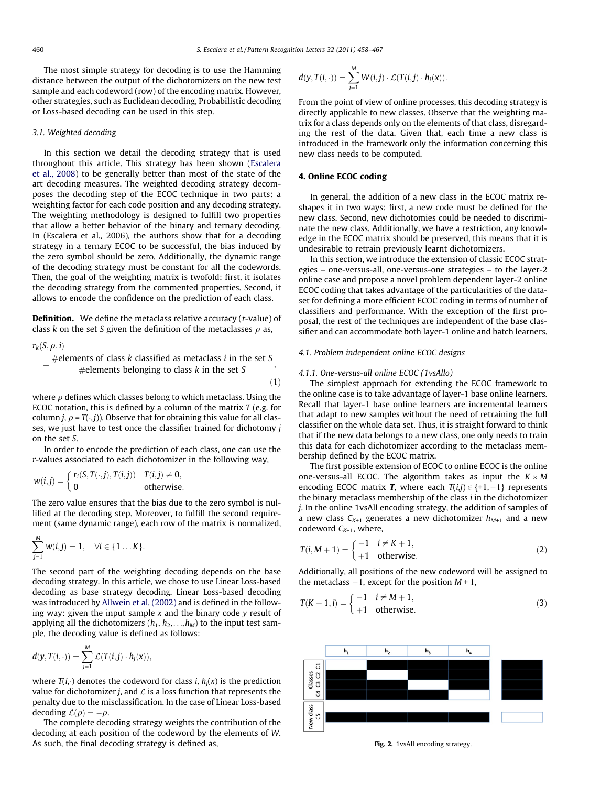<span id="page-2-0"></span>The most simple strategy for decoding is to use the Hamming distance between the output of the dichotomizers on the new test sample and each codeword (row) of the encoding matrix. However, other strategies, such as Euclidean decoding, Probabilistic decoding or Loss-based decoding can be used in this step.

## 3.1. Weighted decoding

In this section we detail the decoding strategy that is used throughout this article. This strategy has been shown [\(Escalera](#page-9-0) [et al., 2008](#page-9-0)) to be generally better than most of the state of the art decoding measures. The weighted decoding strategy decomposes the decoding step of the ECOC technique in two parts: a weighting factor for each code position and any decoding strategy. The weighting methodology is designed to fulfill two properties that allow a better behavior of the binary and ternary decoding. In (Escalera et al., 2006), the authors show that for a decoding strategy in a ternary ECOC to be successful, the bias induced by the zero symbol should be zero. Additionally, the dynamic range of the decoding strategy must be constant for all the codewords. Then, the goal of the weighting matrix is twofold: first, it isolates the decoding strategy from the commented properties. Second, it allows to encode the confidence on the prediction of each class.

**Definition.** We define the metaclass relative accuracy (r-value) of class k on the set S given the definition of the metaclasses  $\rho$  as,

$$
r_k(S, \rho, i)
$$
  
=  $\frac{\text{#elements of class } k \text{ classified as metaclass } i \text{ in the set } S}{\text{#elements belonging to class } k \text{ in the set } S},$  (1)

where  $\rho$  defines which classes belong to which metaclass. Using the ECOC notation, this is defined by a column of the matrix  $T$  (e.g. for column *j*,  $\rho = T(\cdot,j)$ ). Observe that for obtaining this value for all classes, we just have to test once the classifier trained for dichotomy j on the set S.

In order to encode the prediction of each class, one can use the r-values associated to each dichotomizer in the following way,

$$
w(i,j) = \left\{ \begin{matrix} r_i(S,T(\cdot,j),T(i,j)) & T(i,j) \neq 0, \\ 0 & \text{otherwise}. \end{matrix} \right.
$$

The zero value ensures that the bias due to the zero symbol is nullified at the decoding step. Moreover, to fulfill the second requirement (same dynamic range), each row of the matrix is normalized,

$$
\sum_{j=1}^M w(i,j) = 1, \quad \forall i \in \{1 \dots K\}.
$$

The second part of the weighting decoding depends on the base decoding strategy. In this article, we chose to use Linear Loss-based decoding as base strategy decoding. Linear Loss-based decoding was introduced by [Allwein et al. \(2002\)](#page-9-0) and is defined in the following way: given the input sample  $x$  and the binary code  $y$  result of applying all the dichotomizers  $(h_1, h_2, \ldots, h_M)$  to the input test sample, the decoding value is defined as follows:

$$
d(y, T(i, \cdot)) = \sum_{j=1}^{M} \mathcal{L}(T(i,j) \cdot h_j(x)),
$$

where  $T(i, \cdot)$  denotes the codeword for class *i*,  $h_i(x)$  is the prediction value for dichotomizer *j*, and  $\mathcal L$  is a loss function that represents the penalty due to the misclassification. In the case of Linear Loss-based decoding  $\mathcal{L}(\rho) = -\rho$ .

The complete decoding strategy weights the contribution of the decoding at each position of the codeword by the elements of W. As such, the final decoding strategy is defined as,

$$
d(y,T(i,\cdot))=\sum_{j=1}^M W(i,j)\cdot \mathcal{L}(T(i,j)\cdot h_j(x)).
$$

From the point of view of online processes, this decoding strategy is directly applicable to new classes. Observe that the weighting matrix for a class depends only on the elements of that class, disregarding the rest of the data. Given that, each time a new class is introduced in the framework only the information concerning this new class needs to be computed.

## 4. Online ECOC coding

In general, the addition of a new class in the ECOC matrix reshapes it in two ways: first, a new code must be defined for the new class. Second, new dichotomies could be needed to discriminate the new class. Additionally, we have a restriction, any knowledge in the ECOC matrix should be preserved, this means that it is undesirable to retrain previously learnt dichotomizers.

In this section, we introduce the extension of classic ECOC strategies – one-versus-all, one-versus-one strategies – to the layer-2 online case and propose a novel problem dependent layer-2 online ECOC coding that takes advantage of the particularities of the dataset for defining a more efficient ECOC coding in terms of number of classifiers and performance. With the exception of the first proposal, the rest of the techniques are independent of the base classifier and can accommodate both layer-1 online and batch learners.

## 4.1. Problem independent online ECOC designs

#### 4.1.1. One-versus-all online ECOC (1vsAllo)

The simplest approach for extending the ECOC framework to the online case is to take advantage of layer-1 base online learners. Recall that layer-1 base online learners are incremental learners that adapt to new samples without the need of retraining the full classifier on the whole data set. Thus, it is straight forward to think that if the new data belongs to a new class, one only needs to train this data for each dichotomizer according to the metaclass membership defined by the ECOC matrix.

The first possible extension of ECOC to online ECOC is the online one-versus-all ECOC. The algorithm takes as input the  $K \times M$ encoding ECOC matrix **T**, where each  $T(i,j) \in \{+1,-1\}$  represents the binary metaclass membership of the class i in the dichotomizer j. In the online 1vsAll encoding strategy, the addition of samples of a new class  $C_{K+1}$  generates a new dichotomizer  $h_{M+1}$  and a new codeword  $C_{K+1}$ , where,

$$
T(i, M+1) = \begin{cases} -1 & i \neq K+1, \\ +1 & \text{otherwise.} \end{cases}
$$
 (2)

Additionally, all positions of the new codeword will be assigned to the metaclass  $-1$ , except for the position  $M + 1$ ,

$$
T(K+1,i) = \begin{cases} -1 & i \neq M+1, \\ +1 & \text{otherwise.} \end{cases} \tag{3}
$$



Fig. 2. 1vsAll encoding strategy.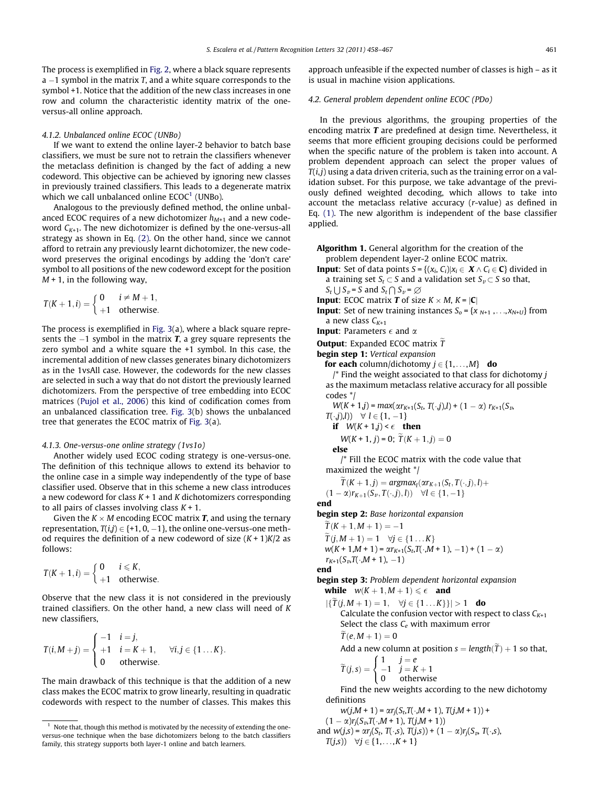The process is exemplified in [Fig. 2,](#page-2-0) where a black square represents a  $-1$  symbol in the matrix T, and a white square corresponds to the symbol +1. Notice that the addition of the new class increases in one row and column the characteristic identity matrix of the oneversus-all online approach.

#### 4.1.2. Unbalanced online ECOC (UNBo)

If we want to extend the online layer-2 behavior to batch base classifiers, we must be sure not to retrain the classifiers whenever the metaclass definition is changed by the fact of adding a new codeword. This objective can be achieved by ignoring new classes in previously trained classifiers. This leads to a degenerate matrix which we call unbalanced online  $ECOC<sup>1</sup>$  (UNBo).

Analogous to the previously defined method, the online unbalanced ECOC requires of a new dichotomizer  $h_{M+1}$  and a new codeword  $C_{K+1}$ . The new dichotomizer is defined by the one-versus-all strategy as shown in Eq. [\(2\).](#page-2-0) On the other hand, since we cannot afford to retrain any previously learnt dichotomizer, the new codeword preserves the original encodings by adding the 'don't care' symbol to all positions of the new codeword except for the position  $M + 1$ , in the following way,

$$
T(K+1,i) = \begin{cases} 0 & i \neq M+1, \\ +1 & \text{otherwise.} \end{cases}
$$

The process is exemplified in [Fig. 3\(](#page-4-0)a), where a black square represents the  $-1$  symbol in the matrix **T**, a grey square represents the zero symbol and a white square the +1 symbol. In this case, the incremental addition of new classes generates binary dichotomizers as in the 1vsAll case. However, the codewords for the new classes are selected in such a way that do not distort the previously learned dichotomizers. From the perspective of tree embedding into ECOC matrices [\(Pujol et al., 2006\)](#page-9-0) this kind of codification comes from an unbalanced classification tree. [Fig. 3](#page-4-0)(b) shows the unbalanced tree that generates the ECOC matrix of [Fig. 3](#page-4-0)(a).

## 4.1.3. One-versus-one online strategy (1vs1o)

Another widely used ECOC coding strategy is one-versus-one. The definition of this technique allows to extend its behavior to the online case in a simple way independently of the type of base classifier used. Observe that in this scheme a new class introduces a new codeword for class  $K + 1$  and K dichotomizers corresponding to all pairs of classes involving class  $K + 1$ .

Given the  $K \times M$  encoding ECOC matrix **T**, and using the ternary representation,  $T(i,j) \in \{+1,$  0,  $-1$  }, the online one-versus-one method requires the definition of a new codeword of size  $(K + 1)K/2$  as follows:

$$
T(K+1,i) = \begin{cases} 0 & i \leq K, \\ +1 & \text{otherwise.} \end{cases}
$$

Observe that the new class it is not considered in the previously trained classifiers. On the other hand, a new class will need of K new classifiers,

$$
T(i, M + j) = \begin{cases} -1 & i = j, \\ +1 & i = K + 1, \\ 0 & \text{otherwise.} \end{cases} \quad \forall i, j \in \{1 \dots K\}.
$$

The main drawback of this technique is that the addition of a new class makes the ECOC matrix to grow linearly, resulting in quadratic codewords with respect to the number of classes. This makes this approach unfeasible if the expected number of classes is high – as it is usual in machine vision applications.

## 4.2. General problem dependent online ECOC (PDo)

In the previous algorithms, the grouping properties of the encoding matrix  $T$  are predefined at design time. Nevertheless, it seems that more efficient grouping decisions could be performed when the specific nature of the problem is taken into account. A problem dependent approach can select the proper values of  $T(i, j)$  using a data driven criteria, such as the training error on a validation subset. For this purpose, we take advantage of the previously defined weighted decoding, which allows to take into account the metaclass relative accuracy (r-value) as defined in Eq. [\(1\)](#page-2-0). The new algorithm is independent of the base classifier applied.

Algorithm 1. General algorithm for the creation of the problem dependent layer-2 online ECOC matrix.

- **Input:** Set of data points  $S = \{(x_i, C_i) | x_i \in X \land C_i \in \mathbb{C}\}\$  divided in a training set  $S_t \subset S$  and a validation set  $S_v \subset S$  so that,  $S_t \cup S_v = S$  and  $S_t \cap S_v = \emptyset$
- **Input:** ECOC matrix **T** of size  $K \times M$ ,  $K = |C|$
- **Input**: Set of new training instances  $S_0 = \{x_{N+1},...,x_{N+U}\}\$ from a new class  $C_{K+1}$

**Input:** Parameters  $\epsilon$  and  $\alpha$ 

- **Output:** Expanded ECOC matrix  $\tilde{T}$
- begin step 1: Vertical expansion
	- for each column/dichotomy  $j \in \{1,...,M\}$  do
	- $\prime$ \* Find the weight associated to that class for dichotomy j as the maximum metaclass relative accuracy for all possible codes \*/

$$
W(K+1,j) = max(\alpha r_{K+1}(S_t, T(\cdot,j),l) + (1-\alpha) r_{K+1}(S_{\nu},
$$

 $T(\cdot,j),l)$   $\forall$   $l \in \{1, -1\}$ 

if  $W(K + 1, j) < \epsilon$  then

$$
W(K+1, j) = 0; T(K+1, j) = 0
$$

else

/\* Fill the ECOC matrix with the code value that maximized the weight \*/

 $\widetilde{T}(K+1,j) = \argmax_i(\alpha r_{K+1}(S_t, T(\cdot,j), l) +$  $(1-\alpha)r_{K+1}(S_\nu,T(\cdot,j),l))\quad \forall l\in\{1,-1\}$ 

end

begin step 2: Base horizontal expansion

 $T(K + 1, M + 1) = -1$ 

 $\widetilde{T}(j, M + 1) = 1 \quad \forall j \in \{1 \dots K\}$  $w(K + 1,M + 1) = \alpha r_{K+1}(S_t, T(\cdot,M + 1), -1) + (1 - \alpha)$  $r_{K+1}(S_{v},T(\cdot,M+1), -1)$ 

end

begin step 3: Problem dependent horizontal expansion while  $w(K + 1, M + 1) \leqslant \epsilon$  and

 $|\{\widetilde{T}(j,M+1)=1, \quad \forall j \in \{1...K\}\}| > 1$  do Calculate the confusion vector with respect to class  $C_{K+1}$ Select the class  $C_e$  with maximum error  $\tilde{T}(e, M + 1) = 0$ Add a new column at position  $s = length(T) + 1$  so that,

$$
\widetilde{T}(j,s) = \begin{cases}\n1 & j = e \\
-1 & j = K + 1 \\
0 & \text{otherwise}\n\end{cases}
$$

Find the new weights according to the new dichotomy definitions

$$
w(j,M+1) = \alpha r_j(S_t, T(\cdot, M+1), T(j,M+1)) +
$$
  
(1 - \alpha)r\_j(S\_t, T(\cdot, M+1), T(j,M+1))  
and w(j,s) = \alpha r\_j(S\_t, T(\cdot, s), T(j,s)) + (1 - \alpha)r\_j(S\_t, T(\cdot, s),  
T(j,s)) \quad \forall j \in \{1, ..., K+1\}

 $1$  Note that, though this method is motivated by the necessity of extending the oneversus-one technique when the base dichotomizers belong to the batch classifiers family, this strategy supports both layer-1 online and batch learners.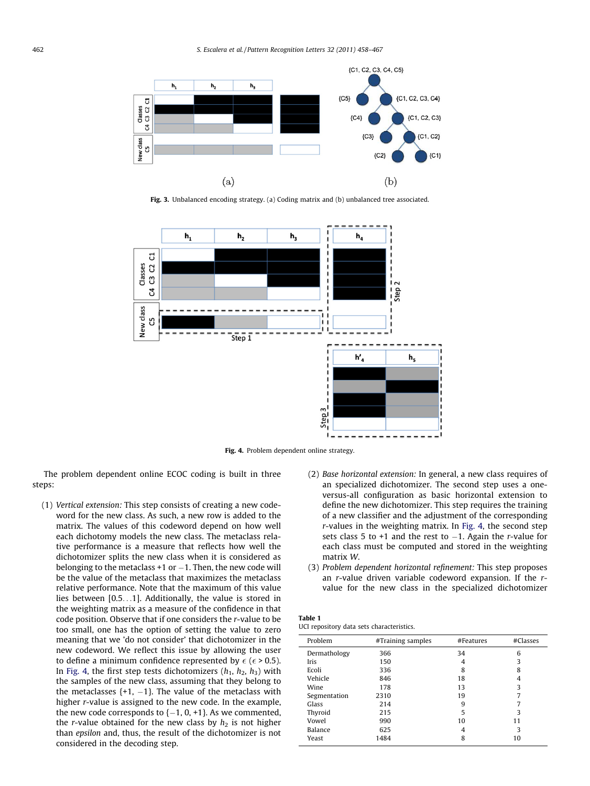<span id="page-4-0"></span>

Fig. 3. Unbalanced encoding strategy. (a) Coding matrix and (b) unbalanced tree associated.



Fig. 4. Problem dependent online strategy.

The problem dependent online ECOC coding is built in three steps:

- (1) Vertical extension: This step consists of creating a new codeword for the new class. As such, a new row is added to the matrix. The values of this codeword depend on how well each dichotomy models the new class. The metaclass relative performance is a measure that reflects how well the dichotomizer splits the new class when it is considered as belonging to the metaclass  $+1$  or  $-1$ . Then, the new code will be the value of the metaclass that maximizes the metaclass relative performance. Note that the maximum of this value lies between [0.5...1]. Additionally, the value is stored in the weighting matrix as a measure of the confidence in that code position. Observe that if one considers the r-value to be too small, one has the option of setting the value to zero meaning that we 'do not consider' that dichotomizer in the new codeword. We reflect this issue by allowing the user to define a minimum confidence represented by  $\epsilon$  ( $\epsilon$  > 0.5). In Fig. 4, the first step tests dichotomizers  $(h_1, h_2, h_3)$  with the samples of the new class, assuming that they belong to the metaclasses  $\{+1, -1\}$ . The value of the metaclass with higher r-value is assigned to the new code. In the example, the new code corresponds to  $\{-1, 0, +1\}$ . As we commented, the r-value obtained for the new class by  $h_2$  is not higher than epsilon and, thus, the result of the dichotomizer is not considered in the decoding step.
- (2) Base horizontal extension: In general, a new class requires of an specialized dichotomizer. The second step uses a oneversus-all configuration as basic horizontal extension to define the new dichotomizer. This step requires the training of a new classifier and the adjustment of the corresponding r-values in the weighting matrix. In Fig. 4, the second step sets class 5 to  $+1$  and the rest to  $-1$ . Again the r-value for each class must be computed and stored in the weighting matrix W.
- (3) Problem dependent horizontal refinement: This step proposes an r-value driven variable codeword expansion. If the rvalue for the new class in the specialized dichotomizer

| Table 1 |  |                                           |
|---------|--|-------------------------------------------|
|         |  | UCI repository data sets characteristics. |

| Problem      | #Training samples | #Features | #Classes |
|--------------|-------------------|-----------|----------|
| Dermathology | 366               | 34        | 6        |
| Iris         | 150               | 4         | 3        |
| Ecoli        | 336               | 8         | 8        |
| Vehicle      | 846               | 18        | 4        |
| Wine         | 178               | 13        | 3        |
| Segmentation | 2310              | 19        | 7        |
| Glass        | 214               | 9         |          |
| Thyroid      | 215               | 5         | 3        |
| Vowel        | 990               | 10        | 11       |
| Balance      | 625               | 4         | 3        |
| Yeast        | 1484              | 8         | 10       |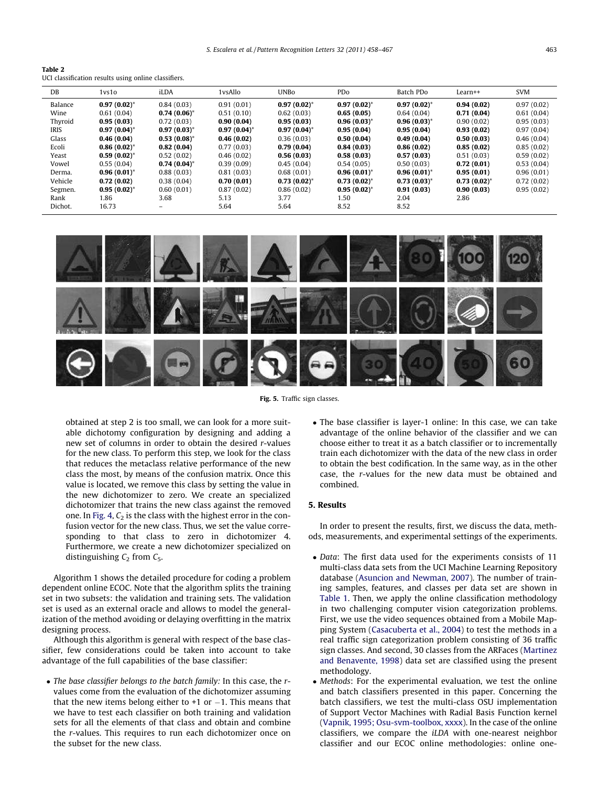<span id="page-5-0"></span>

| Table 2                                              |  |  |
|------------------------------------------------------|--|--|
| UCI classification results using online classifiers. |  |  |

| DB      | 1 <sub>vs1o</sub> | iLDA           | 1vsAllo        | <b>UNBo</b>      | PDo              | Batch PDo      | Learn++          | <b>SVM</b> |
|---------|-------------------|----------------|----------------|------------------|------------------|----------------|------------------|------------|
| Balance | $0.97(0.02)^*$    | 0.84(0.03)     | 0.91(0.01)     | $0.97(0.02)^{*}$ | $0.97(0.02)^*$   | $0.97(0.02)^*$ | 0.94(0.02)       | 0.97(0.02) |
| Wine    | 0.61(0.04)        | $0.74(0.06)^*$ | 0.51(0.10)     | 0.62(0.03)       | 0.65(0.05)       | 0.64(0.04)     | 0.71(0.04)       | 0.61(0.04) |
| Thyroid | 0.95(0.03)        | 0.72(0.03)     | 0.90(0.04)     | 0.95(0.03)       | $0.96(0.03)^*$   | $0.96(0.03)^*$ | 0.90(0.02)       | 0.95(0.03) |
| IRIS    | $0.97(0.04)^*$    | $0.97(0.03)^*$ | $0.97(0.04)^*$ | $0.97(0.04)^*$   | 0.95(0.04)       | 0.95(0.04)     | 0.93(0.02)       | 0.97(0.04) |
| Glass   | 0.46(0.04)        | $0.53(0.08)^*$ | 0.46(0.02)     | 0.36(0.03)       | 0.50(0.04)       | 0.49(0.04)     | 0.50(0.03)       | 0.46(0.04) |
| Ecoli   | $0.86(0.02)^*$    | 0.82(0.04)     | 0.77(0.03)     | 0.79(0.04)       | 0.84(0.03)       | 0.86(0.02)     | 0.85(0.02)       | 0.85(0.02) |
| Yeast   | $0.59(0.02)^*$    | 0.52(0.02)     | 0.46(0.02)     | 0.56(0.03)       | 0.58(0.03)       | 0.57(0.03)     | 0.51(0.03)       | 0.59(0.02) |
| Vowel   | 0.55(0.04)        | $0.74(0.04)^*$ | 0.39(0.09)     | 0.45(0.04)       | 0.54(0.05)       | 0.50(0.03)     | 0.72(0.01)       | 0.53(0.04) |
| Derma.  | $0.96(0.01)^*$    | 0.88(0.03)     | 0.81(0.03)     | 0.68(0.01)       | $0.96(0.01)^*$   | $0.96(0.01)^*$ | 0.95(0.01)       | 0.96(0.01) |
| Vehicle | 0.72(0.02)        | 0.38(0.04)     | 0.70(0.01)     | $0.73(0.02)^{*}$ | $0.73(0.02)^{*}$ | $0.73(0.03)^*$ | $0.73(0.02)^{*}$ | 0.72(0.02) |
| Segmen. | $0.95(0.02)^{*}$  | 0.60(0.01)     | 0.87(0.02)     | 0.86(0.02)       | $0.95(0.02)^*$   | 0.91(0.03)     | 0.90(0.03)       | 0.95(0.02) |
| Rank    | 1.86              | 3.68           | 5.13           | 3.77             | 1.50             | 2.04           | 2.86             |            |
| Dichot. | 16.73             | -              | 5.64           | 5.64             | 8.52             | 8.52           |                  |            |
|         |                   |                |                |                  |                  |                |                  |            |



Fig. 5. Traffic sign classes.

obtained at step 2 is too small, we can look for a more suitable dichotomy configuration by designing and adding a new set of columns in order to obtain the desired r-values for the new class. To perform this step, we look for the class that reduces the metaclass relative performance of the new class the most, by means of the confusion matrix. Once this value is located, we remove this class by setting the value in the new dichotomizer to zero. We create an specialized dichotomizer that trains the new class against the removed one. In [Fig. 4](#page-4-0),  $C_2$  is the class with the highest error in the confusion vector for the new class. Thus, we set the value corresponding to that class to zero in dichotomizer 4. Furthermore, we create a new dichotomizer specialized on distinguishing  $C_2$  from  $C_5$ .

Algorithm 1 shows the detailed procedure for coding a problem dependent online ECOC. Note that the algorithm splits the training set in two subsets: the validation and training sets. The validation set is used as an external oracle and allows to model the generalization of the method avoiding or delaying overfitting in the matrix designing process.

Although this algorithm is general with respect of the base classifier, few considerations could be taken into account to take advantage of the full capabilities of the base classifier:

• The base classifier belongs to the batch family: In this case, the rvalues come from the evaluation of the dichotomizer assuming that the new items belong either to +1 or  $-1$ . This means that we have to test each classifier on both training and validation sets for all the elements of that class and obtain and combine the r-values. This requires to run each dichotomizer once on the subset for the new class.

 The base classifier is layer-1 online: In this case, we can take advantage of the online behavior of the classifier and we can choose either to treat it as a batch classifier or to incrementally train each dichotomizer with the data of the new class in order to obtain the best codification. In the same way, as in the other case, the r-values for the new data must be obtained and combined.

# 5. Results

In order to present the results, first, we discuss the data, methods, measurements, and experimental settings of the experiments.

- Data: The first data used for the experiments consists of 11 multi-class data sets from the UCI Machine Learning Repository database [\(Asuncion and Newman, 2007](#page-9-0)). The number of training samples, features, and classes per data set are shown in [Table 1](#page-4-0). Then, we apply the online classification methodology in two challenging computer vision categorization problems. First, we use the video sequences obtained from a Mobile Mapping System [\(Casacuberta et al., 2004](#page-9-0)) to test the methods in a real traffic sign categorization problem consisting of 36 traffic sign classes. And second, 30 classes from the ARFaces ([Martinez](#page-9-0) [and Benavente, 1998](#page-9-0)) data set are classified using the present methodology.
- Methods: For the experimental evaluation, we test the online and batch classifiers presented in this paper. Concerning the batch classifiers, we test the multi-class OSU implementation of Support Vector Machines with Radial Basis Function kernel [\(Vapnik, 1995; Osu-svm-toolbox, xxxx](#page-9-0)). In the case of the online classifiers, we compare the iLDA with one-nearest neighbor classifier and our ECOC online methodologies: online one-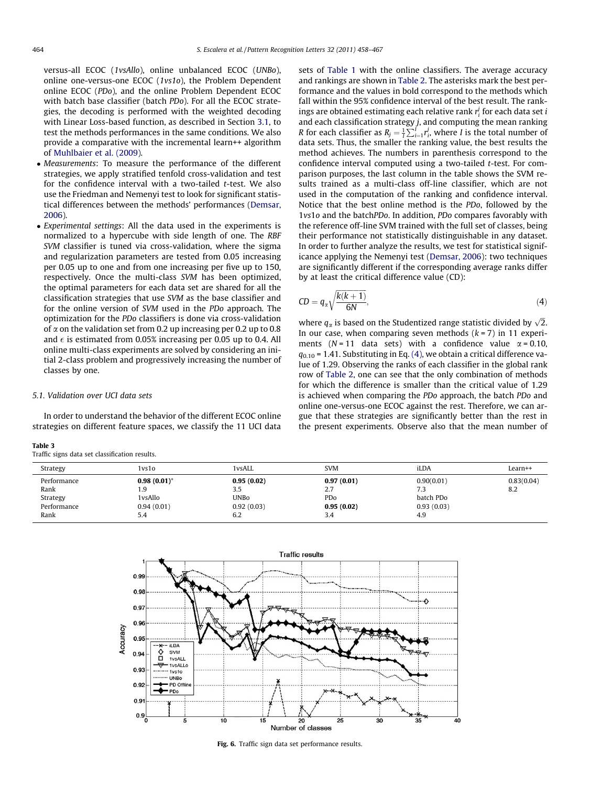<span id="page-6-0"></span>versus-all ECOC (1vsAllo), online unbalanced ECOC (UNBo), online one-versus-one ECOC (1vs1o), the Problem Dependent online ECOC (PDo), and the online Problem Dependent ECOC with batch base classifier (batch PDo). For all the ECOC strategies, the decoding is performed with the weighted decoding with Linear Loss-based function, as described in Section [3.1,](#page-2-0) to test the methods performances in the same conditions. We also provide a comparative with the incremental learn++ algorithm of [Muhlbaier et al. \(2009\)](#page-9-0).

- Measurements: To measure the performance of the different strategies, we apply stratified tenfold cross-validation and test for the confidence interval with a two-tailed t-test. We also use the Friedman and Nemenyi test to look for significant statistical differences between the methods' performances ([Demsar,](#page-9-0) [2006](#page-9-0)).
- Experimental settings: All the data used in the experiments is normalized to a hypercube with side length of one. The RBF SVM classifier is tuned via cross-validation, where the sigma and regularization parameters are tested from 0.05 increasing per 0.05 up to one and from one increasing per five up to 150, respectively. Once the multi-class SVM has been optimized, the optimal parameters for each data set are shared for all the classification strategies that use SVM as the base classifier and for the online version of SVM used in the PDo approach. The optimization for the PDo classifiers is done via cross-validation of  $\alpha$  on the validation set from 0.2 up increasing per 0.2 up to 0.8 and  $\epsilon$  is estimated from 0.05% increasing per 0.05 up to 0.4. All online multi-class experiments are solved by considering an initial 2-class problem and progressively increasing the number of classes by one.

## 5.1. Validation over UCI data sets

In order to understand the behavior of the different ECOC online strategies on different feature spaces, we classify the 11 UCI data

| Table 3 |  |                                                |  |
|---------|--|------------------------------------------------|--|
|         |  | Traffic signs data set classification results. |  |

sets of [Table 1](#page-4-0) with the online classifiers. The average accuracy and rankings are shown in [Table 2](#page-5-0). The asterisks mark the best performance and the values in bold correspond to the methods which fall within the 95% confidence interval of the best result. The rankings are obtained estimating each relative rank  $r_i^j$  for each data set i and each classification strategy  $j$ , and computing the mean ranking R for each classifier as  $R_j = \frac{1}{l} \sum_{i=1}^{l} r_i^j$ , where I is the total number of data sets. Thus, the smaller the ranking value, the best results the method achieves. The numbers in parenthesis correspond to the confidence interval computed using a two-tailed t-test. For comparison purposes, the last column in the table shows the SVM results trained as a multi-class off-line classifier, which are not used in the computation of the ranking and confidence interval. Notice that the best online method is the PDo, followed by the 1vs1o and the batchPDo. In addition, PDo compares favorably with the reference off-line SVM trained with the full set of classes, being their performance not statistically distinguishable in any dataset. In order to further analyze the results, we test for statistical significance applying the Nemenyi test ([Demsar, 2006](#page-9-0)): two techniques are significantly different if the corresponding average ranks differ by at least the critical difference value (CD):

$$
CD = q_{\alpha} \sqrt{\frac{k(k+1)}{6N}}, \tag{4}
$$

where  $q_\alpha$  is based on the Studentized range statistic divided by  $\sqrt{2}$ . In our case, when comparing seven methods  $(k = 7)$  in 11 experiments ( $N = 11$  data sets) with a confidence value  $\alpha = 0.10$ ,  $q_{0.10}$  = 1.41. Substituting in Eq. (4), we obtain a critical difference value of 1.29. Observing the ranks of each classifier in the global rank row of [Table 2,](#page-5-0) one can see that the only combination of methods for which the difference is smaller than the critical value of 1.29 is achieved when comparing the PDo approach, the batch PDo and online one-versus-one ECOC against the rest. Therefore, we can argue that these strategies are significantly better than the rest in the present experiments. Observe also that the mean number of

| 1vs1o          | 1vsALL      | <b>SVM</b> | iLDA       | $Learn++$  |
|----------------|-------------|------------|------------|------------|
| $0.98(0.01)^*$ | 0.95(0.02)  | 0.97(0.01) | 0.90(0.01) | 0.83(0.04) |
| 1.9            | 3.5         | 2.7        | 7.3        | 8.2        |
| 1vsAllo        | <b>UNBo</b> | <b>PDo</b> | batch PDo  |            |
| 0.94(0.01)     | 0.92(0.03)  | 0.95(0.02) | 0.93(0.03) |            |
| 5.4            | 6.2         | 3.4        | 4.9        |            |
|                |             |            |            |            |



Fig. 6. Traffic sign data set performance results.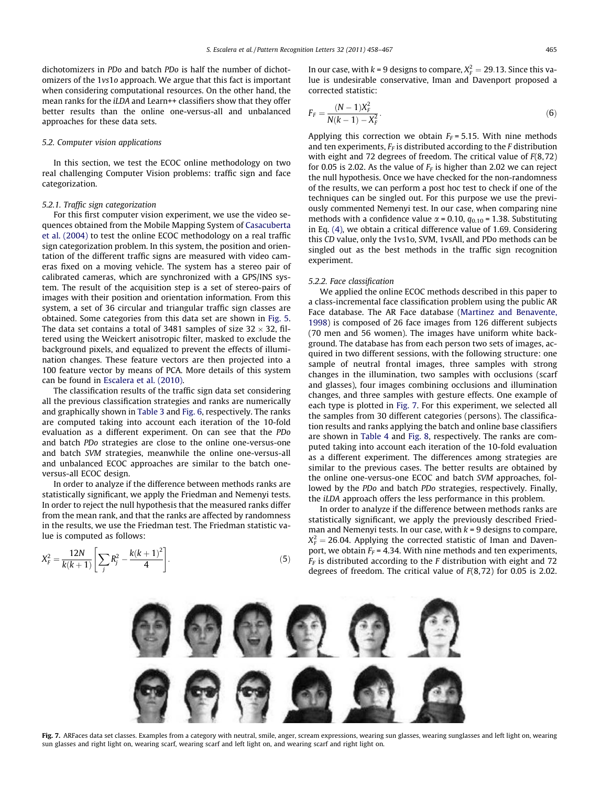dichotomizers in PDo and batch PDo is half the number of dichotomizers of the 1vs1o approach. We argue that this fact is important when considering computational resources. On the other hand, the mean ranks for the iLDA and Learn++ classifiers show that they offer better results than the online one-versus-all and unbalanced approaches for these data sets.

#### 5.2. Computer vision applications

In this section, we test the ECOC online methodology on two real challenging Computer Vision problems: traffic sign and face categorization.

## 5.2.1. Traffic sign categorization

For this first computer vision experiment, we use the video sequences obtained from the Mobile Mapping System of [Casacuberta](#page-9-0) [et al. \(2004\)](#page-9-0) to test the online ECOC methodology on a real traffic sign categorization problem. In this system, the position and orientation of the different traffic signs are measured with video cameras fixed on a moving vehicle. The system has a stereo pair of calibrated cameras, which are synchronized with a GPS/INS system. The result of the acquisition step is a set of stereo-pairs of images with their position and orientation information. From this system, a set of 36 circular and triangular traffic sign classes are obtained. Some categories from this data set are shown in [Fig. 5.](#page-5-0) The data set contains a total of 3481 samples of size  $32 \times 32$ , filtered using the Weickert anisotropic filter, masked to exclude the background pixels, and equalized to prevent the effects of illumination changes. These feature vectors are then projected into a 100 feature vector by means of PCA. More details of this system can be found in [Escalera et al. \(2010\)](#page-9-0).

The classification results of the traffic sign data set considering all the previous classification strategies and ranks are numerically and graphically shown in [Table 3](#page-6-0) and [Fig. 6,](#page-6-0) respectively. The ranks are computed taking into account each iteration of the 10-fold evaluation as a different experiment. On can see that the PDo and batch PDo strategies are close to the online one-versus-one and batch SVM strategies, meanwhile the online one-versus-all and unbalanced ECOC approaches are similar to the batch oneversus-all ECOC design.

In order to analyze if the difference between methods ranks are statistically significant, we apply the Friedman and Nemenyi tests. In order to reject the null hypothesis that the measured ranks differ from the mean rank, and that the ranks are affected by randomness in the results, we use the Friedman test. The Friedman statistic value is computed as follows:

$$
X_F^2 = \frac{12N}{k(k+1)} \left[ \sum_j R_j^2 - \frac{k(k+1)^2}{4} \right].
$$
 (5)

In our case, with  $k$  = 9 designs to compare,  $X_F^2 = 29.13$ . Since this value is undesirable conservative, Iman and Davenport proposed a corrected statistic:

$$
F_F = \frac{(N-1)X_F^2}{N(k-1) - X_F^2}.
$$
\n(6)

Applying this correction we obtain  $F_F = 5.15$ . With nine methods and ten experiments,  $F_F$  is distributed according to the  $F$  distribution with eight and 72 degrees of freedom. The critical value of F(8,72) for 0.05 is 2.02. As the value of  $F_F$  is higher than 2.02 we can reject the null hypothesis. Once we have checked for the non-randomness of the results, we can perform a post hoc test to check if one of the techniques can be singled out. For this purpose we use the previously commented Nemenyi test. In our case, when comparing nine methods with a confidence value  $\alpha$  = 0.10,  $q_{0.10}$  = 1.38. Substituting in Eq. [\(4\),](#page-6-0) we obtain a critical difference value of 1.69. Considering this CD value, only the 1vs1o, SVM, 1vsAll, and PDo methods can be singled out as the best methods in the traffic sign recognition experiment.

#### 5.2.2. Face classification

We applied the online ECOC methods described in this paper to a class-incremental face classification problem using the public AR Face database. The AR Face database [\(Martinez and Benavente,](#page-9-0) [1998\)](#page-9-0) is composed of 26 face images from 126 different subjects (70 men and 56 women). The images have uniform white background. The database has from each person two sets of images, acquired in two different sessions, with the following structure: one sample of neutral frontal images, three samples with strong changes in the illumination, two samples with occlusions (scarf and glasses), four images combining occlusions and illumination changes, and three samples with gesture effects. One example of each type is plotted in Fig. 7. For this experiment, we selected all the samples from 30 different categories (persons). The classification results and ranks applying the batch and online base classifiers are shown in [Table 4](#page-8-0) and [Fig. 8](#page-8-0), respectively. The ranks are computed taking into account each iteration of the 10-fold evaluation as a different experiment. The differences among strategies are similar to the previous cases. The better results are obtained by the online one-versus-one ECOC and batch SVM approaches, followed by the PDo and batch PDo strategies, respectively. Finally, the iLDA approach offers the less performance in this problem.

In order to analyze if the difference between methods ranks are statistically significant, we apply the previously described Friedman and Nemenyi tests. In our case, with  $k = 9$  designs to compare,  $X_F^2 = 26.04$ . Applying the corrected statistic of Iman and Davenport, we obtain  $F_F = 4.34$ . With nine methods and ten experiments,  $F_F$  is distributed according to the F distribution with eight and 72 degrees of freedom. The critical value of F(8,72) for 0.05 is 2.02.



Fig. 7. ARFaces data set classes. Examples from a category with neutral, smile, anger, scream expressions, wearing sun glasses, wearing sunglasses and left light on, wearing sun glasses and right light on, wearing scarf, wearing scarf and left light on, and wearing scarf and right light on.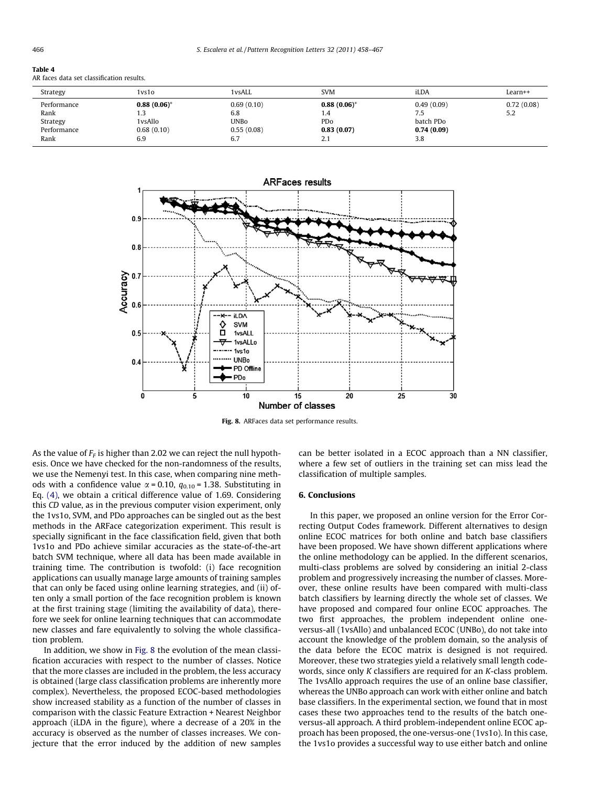<span id="page-8-0"></span>

| таріе 4                                   |  |
|-------------------------------------------|--|
| AR faces data set classification results. |  |

| Strategy    | 1vs1o          | 1 vsALL     | <b>SVM</b>     | iLDA       | Learn++    |
|-------------|----------------|-------------|----------------|------------|------------|
| Performance | $0.88(0.06)^*$ | 0.69(0.10)  | $0.88(0.06)^*$ | 0.49(0.09) | 0.72(0.08) |
| Rank        | 1.3            | 6.8         | 1.4            | 7.5        | 5.2        |
| Strategy    | 1 vsAllo       | <b>UNBo</b> | PDo            | batch PDo  |            |
| Performance | 0.68(0.10)     | 0.55(0.08)  | 0.83(0.07)     | 0.74(0.09) |            |
| Rank        | 6.9            | 6.7         | 2.1            | 3.8        |            |



Fig. 8. ARFaces data set performance results.

As the value of  $F_F$  is higher than 2.02 we can reject the null hypothesis. Once we have checked for the non-randomness of the results, we use the Nemenyi test. In this case, when comparing nine methods with a confidence value  $\alpha$  = 0.10,  $q_{0.10}$  = 1.38. Substituting in Eq. [\(4\)](#page-6-0), we obtain a critical difference value of 1.69. Considering this CD value, as in the previous computer vision experiment, only the 1vs1o, SVM, and PDo approaches can be singled out as the best methods in the ARFace categorization experiment. This result is specially significant in the face classification field, given that both 1vs1o and PDo achieve similar accuracies as the state-of-the-art batch SVM technique, where all data has been made available in training time. The contribution is twofold: (i) face recognition applications can usually manage large amounts of training samples that can only be faced using online learning strategies, and (ii) often only a small portion of the face recognition problem is known at the first training stage (limiting the availability of data), therefore we seek for online learning techniques that can accommodate new classes and fare equivalently to solving the whole classification problem.

In addition, we show in Fig. 8 the evolution of the mean classification accuracies with respect to the number of classes. Notice that the more classes are included in the problem, the less accuracy is obtained (large class classification problems are inherently more complex). Nevertheless, the proposed ECOC-based methodologies show increased stability as a function of the number of classes in comparison with the classic Feature Extraction + Nearest Neighbor approach (iLDA in the figure), where a decrease of a 20% in the accuracy is observed as the number of classes increases. We conjecture that the error induced by the addition of new samples can be better isolated in a ECOC approach than a NN classifier, where a few set of outliers in the training set can miss lead the classification of multiple samples.

## 6. Conclusions

In this paper, we proposed an online version for the Error Correcting Output Codes framework. Different alternatives to design online ECOC matrices for both online and batch base classifiers have been proposed. We have shown different applications where the online methodology can be applied. In the different scenarios, multi-class problems are solved by considering an initial 2-class problem and progressively increasing the number of classes. Moreover, these online results have been compared with multi-class batch classifiers by learning directly the whole set of classes. We have proposed and compared four online ECOC approaches. The two first approaches, the problem independent online oneversus-all (1vsAllo) and unbalanced ECOC (UNBo), do not take into account the knowledge of the problem domain, so the analysis of the data before the ECOC matrix is designed is not required. Moreover, these two strategies yield a relatively small length codewords, since only K classifiers are required for an K-class problem. The 1vsAllo approach requires the use of an online base classifier, whereas the UNBo approach can work with either online and batch base classifiers. In the experimental section, we found that in most cases these two approaches tend to the results of the batch oneversus-all approach. A third problem-independent online ECOC approach has been proposed, the one-versus-one (1vs1o). In this case, the 1vs1o provides a successful way to use either batch and online